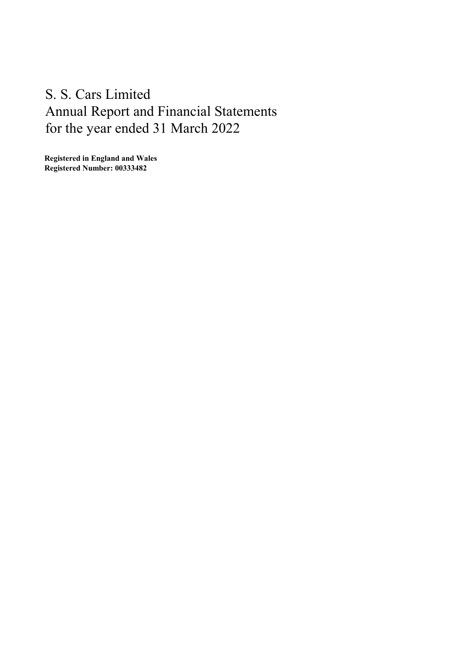Registered in England and Wales Registered Number: 00333482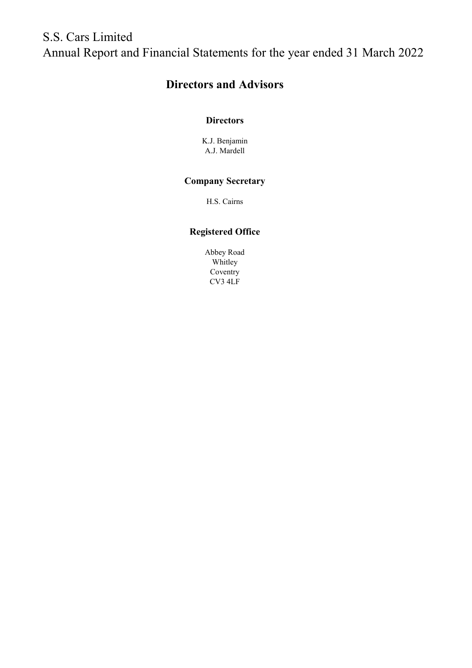# Directors and Advisors

# **Directors**

K.J. Benjamin A.J. Mardell

# Company Secretary

H.S. Cairns

# Registered Office

Abbey Road Whitley Coventry CV3 4LF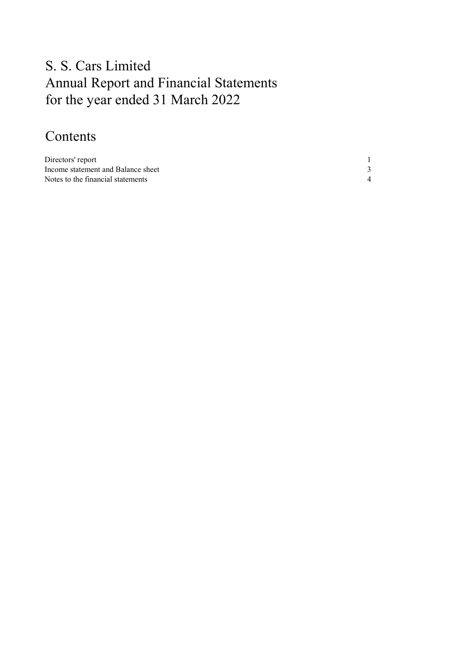# Contents

| Directors' report                  |  |
|------------------------------------|--|
| Income statement and Balance sheet |  |
| Notes to the financial statements  |  |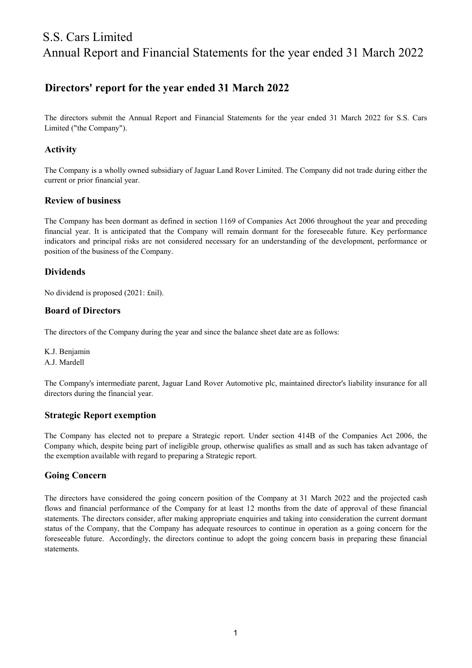# Directors' report for the year ended 31 March 2022

The directors submit the Annual Report and Financial Statements for the year ended 31 March 2022 for S.S. Cars Limited ("the Company").

## Activity

The Company is a wholly owned subsidiary of Jaguar Land Rover Limited. The Company did not trade during either the current or prior financial year.

## Review of business

The Company has been dormant as defined in section 1169 of Companies Act 2006 throughout the year and preceding financial year. It is anticipated that the Company will remain dormant for the foreseeable future. Key performance indicators and principal risks are not considered necessary for an understanding of the development, performance or position of the business of the Company.

## **Dividends**

No dividend is proposed (2021: £nil).

#### Board of Directors

The directors of the Company during the year and since the balance sheet date are as follows:

K.J. Benjamin A.J. Mardell

The Company's intermediate parent, Jaguar Land Rover Automotive plc, maintained director's liability insurance for all directors during the financial year.

## Strategic Report exemption

The Company has elected not to prepare a Strategic report. Under section 414B of the Companies Act 2006, the Company which, despite being part of ineligible group, otherwise qualifies as small and as such has taken advantage of the exemption available with regard to preparing a Strategic report.

## Going Concern

The directors have considered the going concern position of the Company at 31 March 2022 and the projected cash flows and financial performance of the Company for at least 12 months from the date of approval of these financial statements. The directors consider, after making appropriate enquiries and taking into consideration the current dormant status of the Company, that the Company has adequate resources to continue in operation as a going concern for the foreseeable future. Accordingly, the directors continue to adopt the going concern basis in preparing these financial statements.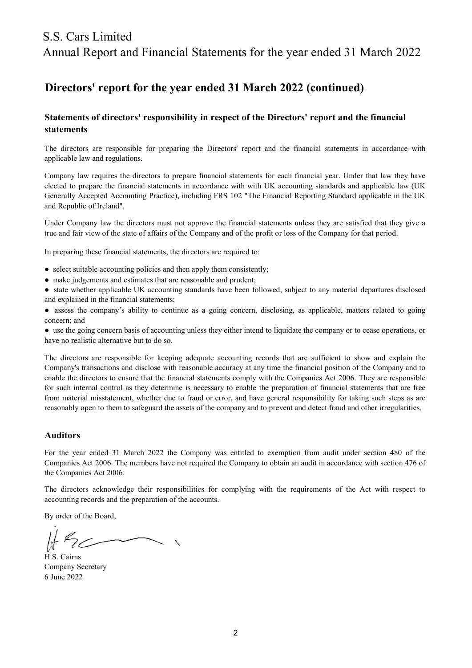# S.S. Cars Limited

Annual Report and Financial Statements for the year ended 31 March 2022

# Directors' report for the year ended 31 March 2022 (continued)

# Statements of directors' responsibility in respect of the Directors' report and the financial statements

The directors are responsible for preparing the Directors' report and the financial statements in accordance with applicable law and regulations.

Company law requires the directors to prepare financial statements for each financial year. Under that law they have elected to prepare the financial statements in accordance with with UK accounting standards and applicable law (UK Generally Accepted Accounting Practice), including FRS 102 "The Financial Reporting Standard applicable in the UK and Republic of Ireland".

Under Company law the directors must not approve the financial statements unless they are satisfied that they give a true and fair view of the state of affairs of the Company and of the profit or loss of the Company for that period.

In preparing these financial statements, the directors are required to:

- select suitable accounting policies and then apply them consistently;
- make judgements and estimates that are reasonable and prudent;
- state whether applicable UK accounting standards have been followed, subject to any material departures disclosed and explained in the financial statements;
- assess the company's ability to continue as a going concern, disclosing, as applicable, matters related to going concern; and

● use the going concern basis of accounting unless they either intend to liquidate the company or to cease operations, or have no realistic alternative but to do so.

The directors are responsible for keeping adequate accounting records that are sufficient to show and explain the Company's transactions and disclose with reasonable accuracy at any time the financial position of the Company and to enable the directors to ensure that the financial statements comply with the Companies Act 2006. They are responsible for such internal control as they determine is necessary to enable the preparation of financial statements that are free from material misstatement, whether due to fraud or error, and have general responsibility for taking such steps as are reasonably open to them to safeguard the assets of the company and to prevent and detect fraud and other irregularities.

#### Auditors

For the year ended 31 March 2022 the Company was entitled to exemption from audit under section 480 of the Companies Act 2006. The members have not required the Company to obtain an audit in accordance with section 476 of the Companies Act 2006.

The directors acknowledge their responsibilities for complying with the requirements of the Act with respect to accounting records and the preparation of the accounts.

By order of the Board,

H.S. Cairns 6 June 2022 Company Secretary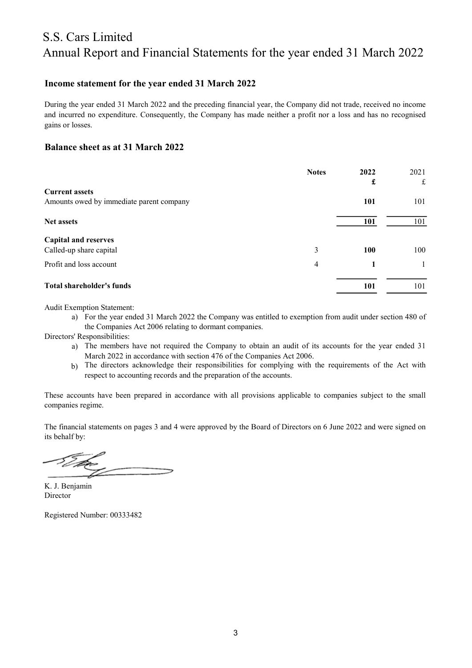## Income statement for the year ended 31 March 2022

During the year ended 31 March 2022 and the preceding financial year, the Company did not trade, received no income and incurred no expenditure. Consequently, the Company has made neither a profit nor a loss and has no recognised gains or losses.

#### Balance sheet as at 31 March 2022

|                                          | <b>Notes</b> | 2022       | 2021 |
|------------------------------------------|--------------|------------|------|
| <b>Current assets</b>                    |              | £          | £    |
| Amounts owed by immediate parent company |              | <b>101</b> | 101  |
| <b>Net assets</b>                        |              | 101        | 101  |
| <b>Capital and reserves</b>              |              |            |      |
| Called-up share capital                  | 3            | 100        | 100  |
| Profit and loss account                  | 4            |            |      |
| <b>Total shareholder's funds</b>         |              | 101        | 101  |

Audit Exemption Statement:

a) For the year ended 31 March 2022 the Company was entitled to exemption from audit under section 480 of the Companies Act 2006 relating to dormant companies.

Directors' Responsibilities:

- a) The members have not required the Company to obtain an audit of its accounts for the year ended 31 March 2022 in accordance with section 476 of the Companies Act 2006.
- b) The directors acknowledge their responsibilities for complying with the requirements of the Act with respect to accounting records and the preparation of the accounts.

These accounts have been prepared in accordance with all provisions applicable to companies subject to the small companies regime.

The financial statements on pages 3 and 4 were approved by the Board of Directors on 6 June 2022 and were signed on its behalf by:

Director K. J. Benjamin

Registered Number: 00333482